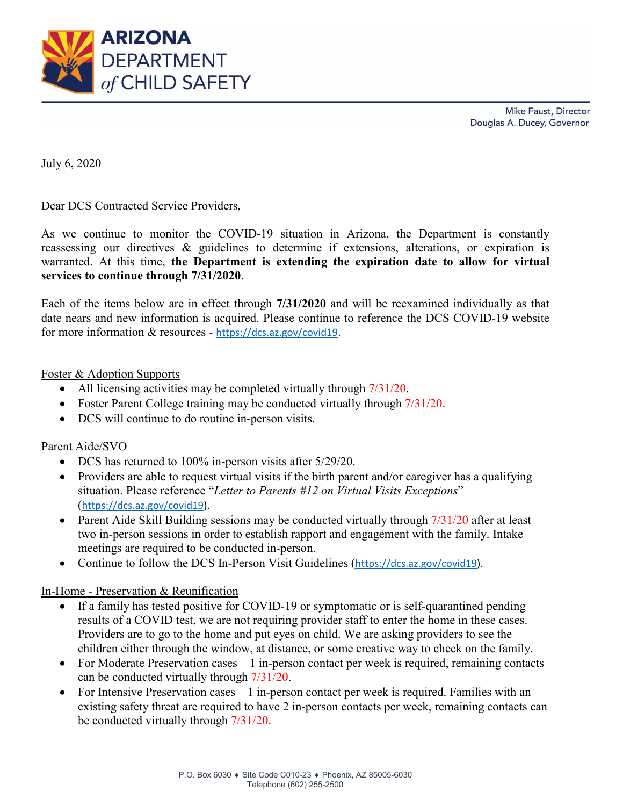

Mike Faust, Director Douglas A. Ducey, Governor

July 6, 2020

Dear DCS Contracted Service Providers,

As we continue to monitor the COVID-19 situation in Arizona, the Department is constantly reassessing our directives & guidelines to determine if extensions, alterations, or expiration is warranted. At this time, **the Department is extending the expiration date to allow for virtual services to continue through 7/31/2020**.

Each of the items below are in effect through **7/31/2020** and will be reexamined individually as that date nears and new information is acquired. Please continue to reference the DCS COVID-19 website for more information & resources - [https://dcs.az.gov/covid19.](https://dcs.az.gov/covid19)

#### Foster & Adoption Supports

- All licensing activities may be completed virtually through  $7/31/20$ .
- Foster Parent College training may be conducted virtually through  $7/31/20$ .
- DCS will continue to do routine in-person visits.

### Parent Aide/SVO

- DCS has returned to 100% in-person visits after 5/29/20.
- Providers are able to request virtual visits if the birth parent and/or caregiver has a qualifying situation. Please reference "*Letter to Parents #12 on Virtual Visits Exceptions*" ([https://dcs.az.gov/covid19\)](https://dcs.az.gov/covid19).
- Parent Aide Skill Building sessions may be conducted virtually through  $7/31/20$  after at least two in-person sessions in order to establish rapport and engagement with the family. Intake meetings are required to be conducted in-person.
- Continue to follow the DCS In-Person Visit Guidelines ([https://dcs.az.gov/covid19\)](https://dcs.az.gov/covid19).

### In-Home - Preservation & Reunification

- If a family has tested positive for COVID-19 or symptomatic or is self-quarantined pending results of a COVID test, we are not requiring provider staff to enter the home in these cases. Providers are to go to the home and put eyes on child. We are asking providers to see the children either through the window, at distance, or some creative way to check on the family.
- For Moderate Preservation cases  $-1$  in-person contact per week is required, remaining contacts can be conducted virtually through 7/31/20.
- For Intensive Preservation cases 1 in-person contact per week is required. Families with an existing safety threat are required to have 2 in-person contacts per week, remaining contacts can be conducted virtually through 7/31/20.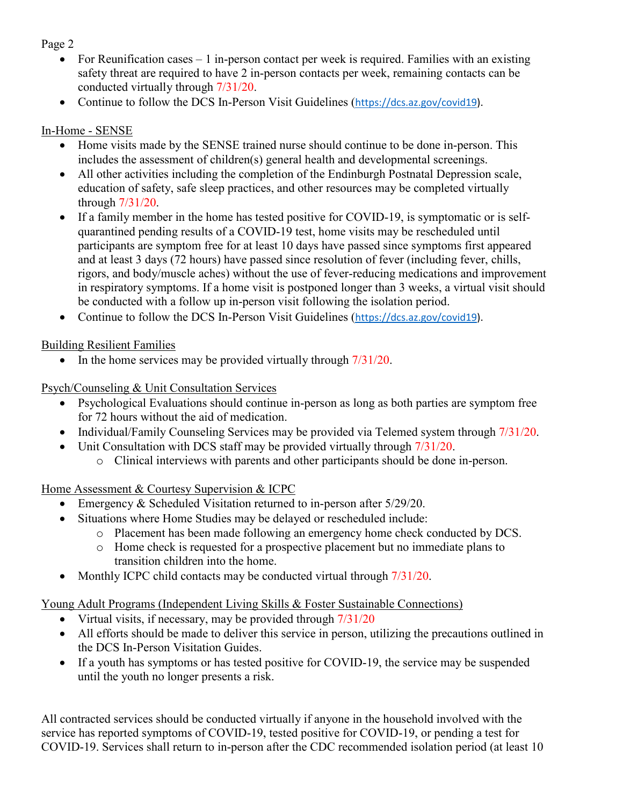Page 2

- For Reunification cases  $-1$  in-person contact per week is required. Families with an existing safety threat are required to have 2 in-person contacts per week, remaining contacts can be conducted virtually through 7/31/20.
- Continue to follow the DCS In-Person Visit Guidelines ([https://dcs.az.gov/covid19\)](https://dcs.az.gov/covid19).

# In-Home - SENSE

- Home visits made by the SENSE trained nurse should continue to be done in-person. This includes the assessment of children(s) general health and developmental screenings.
- All other activities including the completion of the Endinburgh Postnatal Depression scale, education of safety, safe sleep practices, and other resources may be completed virtually through 7/31/20.
- If a family member in the home has tested positive for COVID-19, is symptomatic or is selfquarantined pending results of a COVID-19 test, home visits may be rescheduled until participants are symptom free for at least 10 days have passed since symptoms first appeared and at least 3 days (72 hours) have passed since resolution of fever (including fever, chills, rigors, and body/muscle aches) without the use of fever-reducing medications and improvement in respiratory symptoms. If a home visit is postponed longer than 3 weeks, a virtual visit should be conducted with a follow up in-person visit following the isolation period.
- Continue to follow the DCS In-Person Visit Guidelines ([https://dcs.az.gov/covid19\)](https://dcs.az.gov/covid19).

Building Resilient Families

• In the home services may be provided virtually through  $7/31/20$ .

Psych/Counseling & Unit Consultation Services

- Psychological Evaluations should continue in-person as long as both parties are symptom free for 72 hours without the aid of medication.
- Individual/Family Counseling Services may be provided via Telemed system through  $7/31/20$ .
- Unit Consultation with DCS staff may be provided virtually through  $7/31/20$ .
	- o Clinical interviews with parents and other participants should be done in-person.

Home Assessment & Courtesy Supervision & ICPC

- Emergency & Scheduled Visitation returned to in-person after 5/29/20.
- Situations where Home Studies may be delayed or rescheduled include:
	- o Placement has been made following an emergency home check conducted by DCS.
		- o Home check is requested for a prospective placement but no immediate plans to transition children into the home.
- Monthly ICPC child contacts may be conducted virtual through  $7/31/20$ .

Young Adult Programs (Independent Living Skills & Foster Sustainable Connections)

- Virtual visits, if necessary, may be provided through  $7/31/20$
- All efforts should be made to deliver this service in person, utilizing the precautions outlined in the DCS In-Person Visitation Guides.
- If a youth has symptoms or has tested positive for COVID-19, the service may be suspended until the youth no longer presents a risk.

All contracted services should be conducted virtually if anyone in the household involved with the service has reported symptoms of COVID-19, tested positive for COVID-19, or pending a test for COVID-19. Services shall return to in-person after the CDC recommended isolation period (at least 10